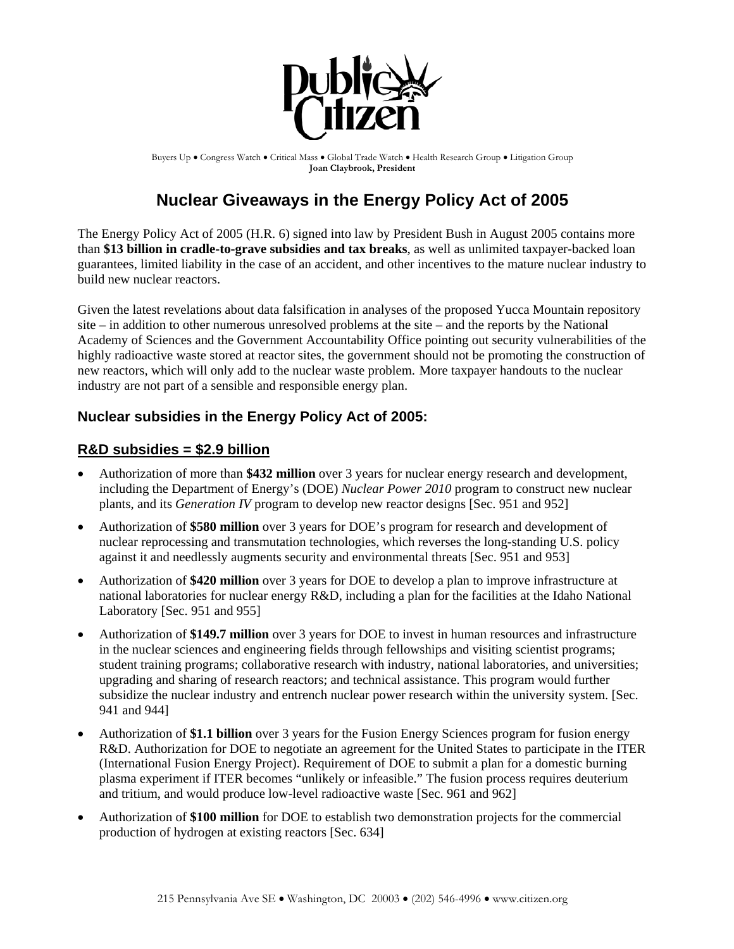

Buyers Up • Congress Watch • Critical Mass • Global Trade Watch • Health Research Group • Litigation Group **Joan Claybrook, President**

# **Nuclear Giveaways in the Energy Policy Act of 2005**

The Energy Policy Act of 2005 (H.R. 6) signed into law by President Bush in August 2005 contains more than **\$13 billion in cradle-to-grave subsidies and tax breaks**, as well as unlimited taxpayer-backed loan guarantees, limited liability in the case of an accident, and other incentives to the mature nuclear industry to build new nuclear reactors.

Given the latest revelations about data falsification in analyses of the proposed Yucca Mountain repository site – in addition to other numerous unresolved problems at the site – and the reports by the National Academy of Sciences and the Government Accountability Office pointing out security vulnerabilities of the highly radioactive waste stored at reactor sites, the government should not be promoting the construction of new reactors, which will only add to the nuclear waste problem. More taxpayer handouts to the nuclear industry are not part of a sensible and responsible energy plan.

### **Nuclear subsidies in the Energy Policy Act of 2005:**

#### **R&D subsidies = \$2.9 billion**

- Authorization of more than **\$432 million** over 3 years for nuclear energy research and development, including the Department of Energy's (DOE) *Nuclear Power 2010* program to construct new nuclear plants, and its *Generation IV* program to develop new reactor designs [Sec. 951 and 952]
- Authorization of **\$580 million** over 3 years for DOE's program for research and development of nuclear reprocessing and transmutation technologies, which reverses the long-standing U.S. policy against it and needlessly augments security and environmental threats [Sec. 951 and 953]
- Authorization of **\$420 million** over 3 years for DOE to develop a plan to improve infrastructure at national laboratories for nuclear energy R&D, including a plan for the facilities at the Idaho National Laboratory [Sec. 951 and 955]
- Authorization of **\$149.7 million** over 3 years for DOE to invest in human resources and infrastructure in the nuclear sciences and engineering fields through fellowships and visiting scientist programs; student training programs; collaborative research with industry, national laboratories, and universities; upgrading and sharing of research reactors; and technical assistance. This program would further subsidize the nuclear industry and entrench nuclear power research within the university system. [Sec. 941 and 944]
- Authorization of **\$1.1 billion** over 3 years for the Fusion Energy Sciences program for fusion energy R&D. Authorization for DOE to negotiate an agreement for the United States to participate in the ITER (International Fusion Energy Project). Requirement of DOE to submit a plan for a domestic burning plasma experiment if ITER becomes "unlikely or infeasible." The fusion process requires deuterium and tritium, and would produce low-level radioactive waste [Sec. 961 and 962]
- Authorization of **\$100 million** for DOE to establish two demonstration projects for the commercial production of hydrogen at existing reactors [Sec. 634]